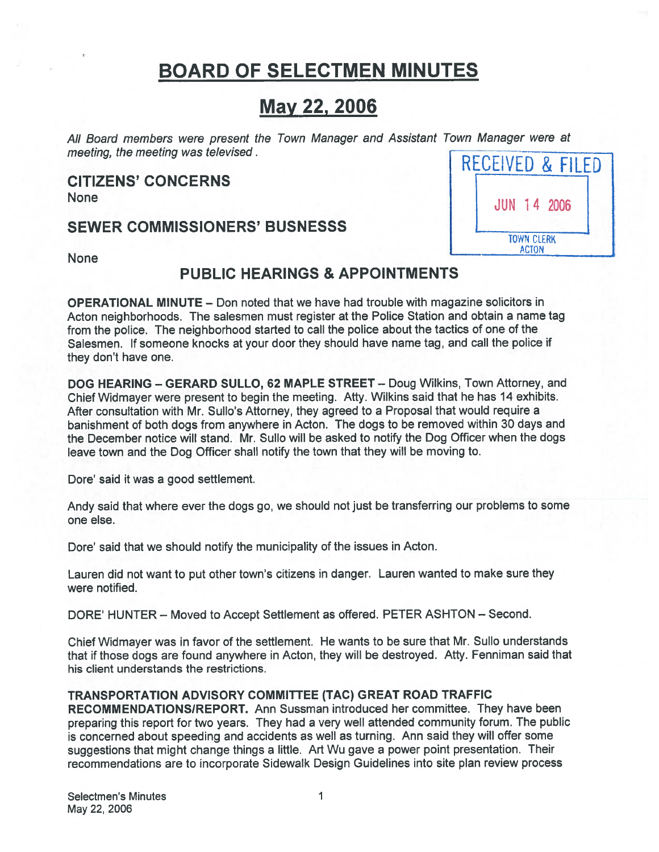# BOARD OF SELECTMEN MINUTES

# May 22, 2006

All Board members were present the Town Manager and Assistant Town Manager were at meeting. the meeting was televised BOARD OF SELECTMEN MINUTES<br>
May 22, 2006<br>
All Board members were present the Town Manager and Assistant Town Manager were at<br>
meeting, the meeting was televised.<br>
CITIZENS' CONCERNS<br>
None<br>
SEWER COMMISSIONERS' BUSNESSS

CITIZENS' CONCERNS



None

# PUBLIC HEARINGS & APPOINTMENTS

OPERATIONAL MINUTE — Don noted that we have had trouble with magazine solicitors in Acton neighborhoods. The salesmen must register at the Police Station and obtain <sup>a</sup> name tag from the police. The neighborhood started to call the police about the tactics of one of the Salesmen. If someone knocks at your door they should have name tag, and call the police if they don't have one.

DOG HEARING — GERARD SULLO, 62 MAPLE STREET — Doug Wilkins, Town Attorney, and Chief Widmayer were present to begin the meeting. Atty. Wilkins said that he has 14 exhibits. After consultation with Mr. Sullo's Attorney, they agreed to <sup>a</sup> Proposal that would require <sup>a</sup> banishment of both dogs from anywhere in Acton. The dogs to be removed within 30 days and the December notice will stand. Mr. Sullo will be asked to notify the Dog Officer when the dogs leave town and the Dog Officer shall notify the town that they will be moving to.

Dore' said it was a good settlement.

Andy said that where ever the dogs go, we should not just be transferring our problems to some one else.

Dore' said that we should notify the municipality of the issues in Acton.

Lauren did not want to pu<sup>t</sup> other town's citizens in danger. Lauren wanted to make sure they were notified.

DORE' HUNTER — Moved to Accept Settlement as offered. PETER ASHTON — Second.

Chief Widmayer was in favor of the settlement. He wants to be sure that Mr. Sullo understands that if those dogs are found anywhere in Acton, they will be destroyed. Atty. Fenniman said that his client understands the restrictions.

## TRANSPORTATION ADVISORY COMMITTEE (TAC) GREAT ROAD TRAFFIC

RECOMMENDATIONSIREPORT. Ann Sussman introduced her committee. They have been preparing this repor<sup>t</sup> for two years. They had <sup>a</sup> very well attended community forum. The public is concerned about speeding and accidents as well as turning. Ann said they will offer some suggestions that might change things <sup>a</sup> little. Art Wu gave <sup>a</sup> power point presentation. Their recommendations are to incorporate Sidewalk Design Guidelines into site plan review process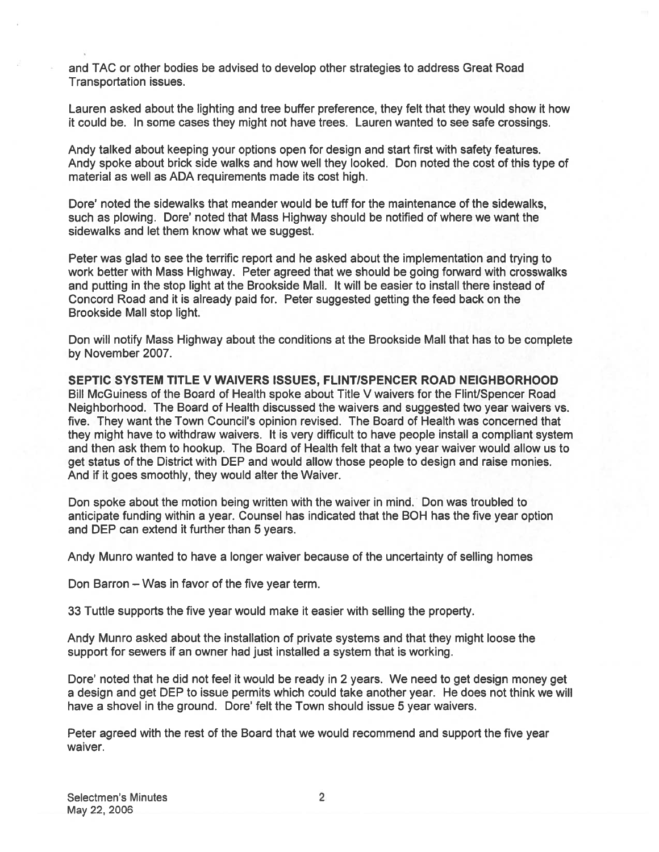and TAC or other bodies be advised to develop other strategies to address Great Road Transportation issues.

Lauren asked about the lighting and tree buffer preference, they felt that they would show it how it could be. In some cases they might not have trees. Lauren wanted to see safe crossings.

Andy talked about keeping your options open for design and start first with safety features. Andy spoke about brick side walks and how well they looked. Don noted the cost of this type of material as well as ADA requirements made its cost high.

Dore' noted the sidewalks that meander would be tuff for the maintenance of the sidewalks, such as plowing. Dore' noted that Mass Highway should be notified of where we want the sidewalks and let them know what we suggest.

Peter was glad to see the terrific repor<sup>t</sup> and he asked about the implementation and trying to work better with Mass Highway. Peter agreed that we should be going forward with crosswalks and putting in the stop light at the Brookside Mall. It will be easier to install there instead of Concord Road and it is already paid for. Peter suggested getting the feed back on the Brookside Mall stop light.

Don will notify Mass Highway about the conditions at the Brookside Mall that has to be complete by November 2007.

SEPTIC SYSTEM TITLE V WAIVERS ISSUES, FLINTISPENCER ROAD NEIGHBORHOOD Bill McGuiness of the Board of Health spoke about Title V waivers for the Flint/Spencer Road Neighborhood. The Board of Health discussed the waivers and suggested two year waivers vs. five. They want the Town Council's opinion revised. The Board of Health was concerned that they might have to withdraw waivers. It is very difficult to have people install <sup>a</sup> compliant system and then ask them to hookup. The Board of Health felt that <sup>a</sup> two year waiver would allow us to ge<sup>t</sup> status of the District with DEP and would allow those people to design and raise monies. And if it goes smoothly, they would alter the Waiver.

Don spoke about the motion being written with the waiver in mind. Don was troubled to anticipate funding within <sup>a</sup> year. Counsel has indicated that the BOH has the five year option and DEP can extend it further than 5 years.

Andy Munro wanted to have <sup>a</sup> longer waiver because of the uncertainty of selling homes

Don Barron — Was in favor of the five year term.

33 Tuttle supports the five year would make it easier with selling the property.

Andy Munro asked about the installation of private systems and that they might loose the suppor<sup>t</sup> for sewers if an owner had just installed <sup>a</sup> system that is working.

Dore' noted that he did not feel it would be ready in 2 years. We need to ge<sup>t</sup> design money ge<sup>t</sup> <sup>a</sup> design and ge<sup>t</sup> DEP to issue permits which could take another year. He does not think we will have <sup>a</sup> shovel in the ground. Dore' felt the Town should issue 5 year waivers.

Peter agreed with the rest of the Board that we would recommend and suppor<sup>t</sup> the five year waiver.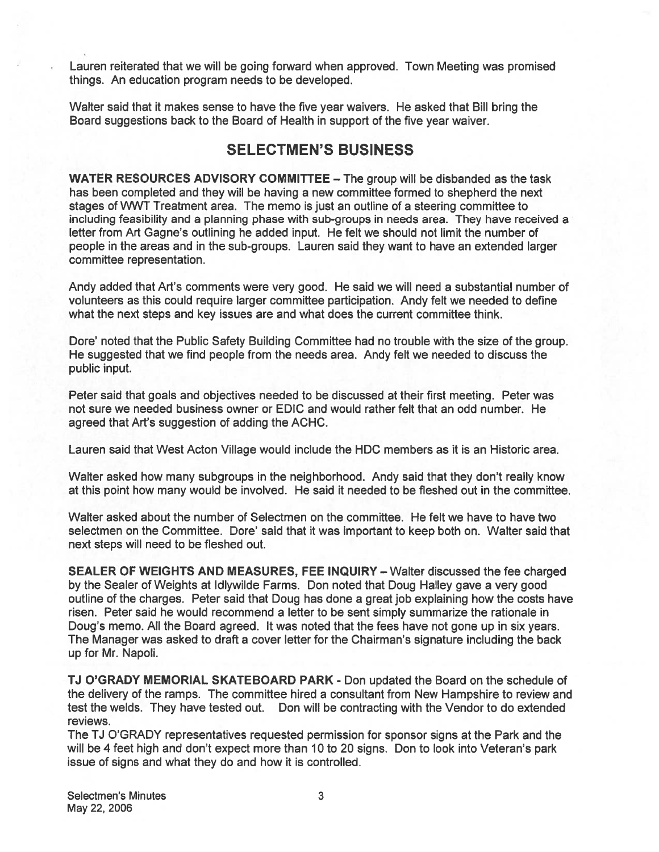Lauren reiterated that we will be going forward when approved. Town Meeting was promised things. An education program needs to be developed.

Walter said that it makes sense to have the five year waivers. He asked that Bill bring the Board suggestions back to the Board of Health in suppor<sup>t</sup> of the five year waiver.

## SELECTMEN'S BUSINESS

WATER RESOURCES ADVISORY COMMITTEE — The group will be disbanded as the task has been completed and they will be having <sup>a</sup> new committee formed to shepherd the next stages of WWT Treatment area. The memo is just an outline of <sup>a</sup> steering committee to including feasibility and <sup>a</sup> planning phase with sub-groups in needs area. They have received <sup>a</sup> letter from Art Gagne's outlining he added input. He felt we should not limit the number of people in the areas and in the sub-groups. Lauren said they want to have an extended larger committee representation.

Andy added that Art's comments were very good. He said we will need <sup>a</sup> substantial number of volunteers as this could require larger committee participation. Andy felt we needed to define what the next steps and key issues are and what does the current committee think.

Dore' noted that the Public Safety Building Committee had no trouble with the size of the group. He suggested that we find people from the needs area. Andy felt we needed to discuss the public input.

Peter said that goals and objectives needed to be discussed at their first meeting. Peter was not sure we needed business owner or EDIC and would rather felt that an odd number. He agreed that Art's suggestion of adding the ACHC.

Lauren said that West Acton Village would include the HDC members as it is an Historic area.

Walter asked how many subgroups in the neighborhood. Andy said that they don't really know at this point how many would be involved. He said it needed to be fleshed out in the committee.

Walter asked about the number of Selectmen on the committee. He felt we have to have two selectmen on the Committee. Dore' said that it was important to keep both on. Walter said that next steps will need to be fleshed out.

SEALER OF WEIGHTS AND MEASURES, FEE INQUIRY — Walter discussed the fee charged by the Sealer of Weights at Idlywilde Farms. Don noted that Doug Halley gave <sup>a</sup> very good outline of the charges. Peter said that Doug has done <sup>a</sup> grea<sup>t</sup> job explaining how the costs have risen. Peter said he would recommend <sup>a</sup> letter to be sent simply summarize the rationale in Doug's memo. All the Board agreed. It was noted that the fees have not gone up in six years. The Manager was asked to draft <sup>a</sup> cover letter for the Chairman's signature including the back up for Mr. Napoli.

TJ O'GRADY MEMORIAL SKATEBOARD PARK - Don updated the Board on the schedule of the delivery of the ramps. The committee hired <sup>a</sup> consultant from New Hampshire to review and test the welds. They have tested out. Don will be contracting with the Vendor to do extended reviews.

The TI O'GRADY representatives requested permission for sponsor signs at the Park and the will be 4 feet high and don't expec<sup>t</sup> more than 10 to 20 signs. Don to look into Veteran's park issue of signs and what they do and how it is controlled.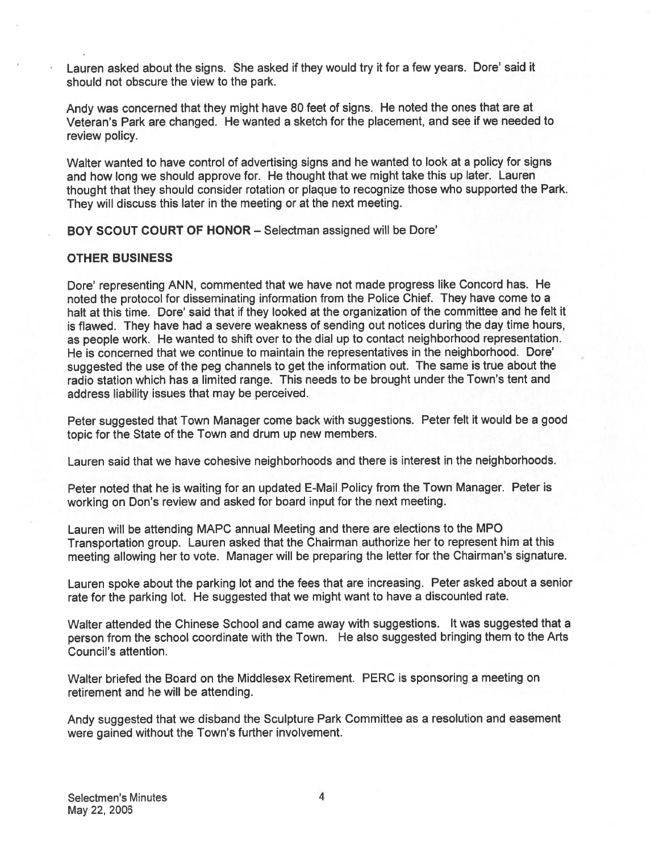Lauren asked about the signs. She asked if they would try it for <sup>a</sup> few years. Dore' said it should not obscure the view to the park.

Andy was concerned that they might have <sup>80</sup> feet of signs. He noted the ones that are at Veteran's Park are changed. He wanted <sup>a</sup> sketch for the placement, and see if we needed to review policy.

Walter wanted to have control of advertising signs and he wanted to look at <sup>a</sup> policy for signs and how long we should approve for. He thought that we might take this up later. Lauren thought that they should consider rotation or <sup>p</sup>laque to recognize those who supported the Park. They will discuss this later in the meeting or at the next meeting.

BOY SCOUT COURT OF HONOR — Selectman assigned will be Dote'

## OTHER BUSINESS

•

Dore' representing ANN, commented that we have not made progress like Concord has. He noted the protocol for disseminating information from the Police Chief. They have come to <sup>a</sup> halt at this time. Dore' said that if they looked at the organization of the committee and he felt it is flawed. They have had <sup>a</sup> severe weakness of sending out notices during the day time hours, as people work. He wanted to shift over to the dial up to contact neighborhood representation. He is concerned that we continue to maintain the representatives in the neighborhood. Dote' suggested the use of the peg channels to ge<sup>t</sup> the information out. The same is true about the radio station which has <sup>a</sup> limited range. This needs to be brought under the Town's tent and address liability issues that may be perceived.

Peter suggested that Town Manager come back with suggestions. Peter felt it would be <sup>a</sup> goo<sup>d</sup> topic for the State of the Town and drum up new members.

Lauren said that we have cohesive neighborhoods and there is interest in the neighborhoods.

Peter noted that he is waiting for an updated E-Mail Policy from the Town Manager. Peter is working on Don's review and asked for board input for the next meeting.

Lauren will be attending MAPC annual Meeting and there are elections to the MPO Transportation group. Lauren asked that the Chairman authorize her to represen<sup>t</sup> him at this meeting allowing her to vote. Manager will be preparing the letter for the Chairman's signature.

Lauren spoke about the parking lot and the fees that are increasing. Peter asked about <sup>a</sup> senior rate for the parking lot. He suggested that we might want to have <sup>a</sup> discounted rate.

Walter attended the Chinese School and came away with suggestions. It was suggested that <sup>a</sup> person from the school coordinate with the Town. He also suggested bringing them to the Arts Council's attention.

Walter briefed the Board on the Middlesex Retirement. PERC is sponsoring <sup>a</sup> meeting on retirement and he will be attending.

Andy suggested that we disband the Sculpture Park Committee as <sup>a</sup> resolution and easement were gained without the Town's further involvement.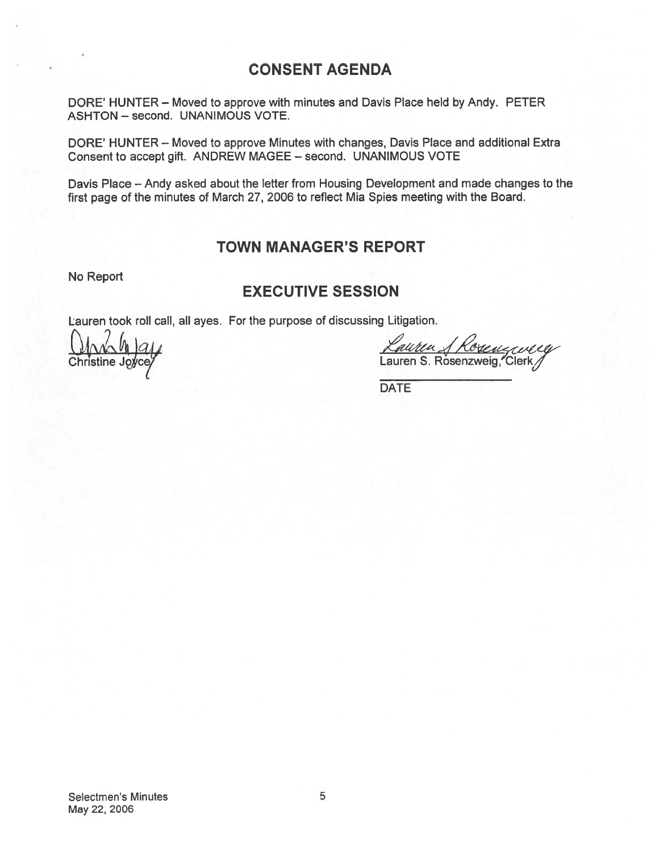# CONSENT AGENDA

DORE' HUNTER — Moved to approve with minutes and Davis Place held by Andy. PETER ASHTON — second. UNANIMOUS VOTE.

DORE' HUNTER — Moved to approve Minutes with changes, Davis Place and additional Extra Consent to accep<sup>t</sup> gift. ANDREW MAGEE — second. UNANIMOUS VOTE

Davis Place — Andy asked about the letter from Housing Development and made changes to the first page of the minutes of March 27, 2006 to reflect Mia Spies meeting with the Board.

## TOWN MANAGER'S REPORT

No Report

## EXECUTIVE SESSION

Lauren took roll call, all ayes. For the purpose of discussing Litigation.

 $\frac{\text{Kautu}}{\text{Carmonic}}$ <br>Christine Joyce/<br>Christine Joyce/

DATE

Selectmen's Minutes 5 May 22, 2006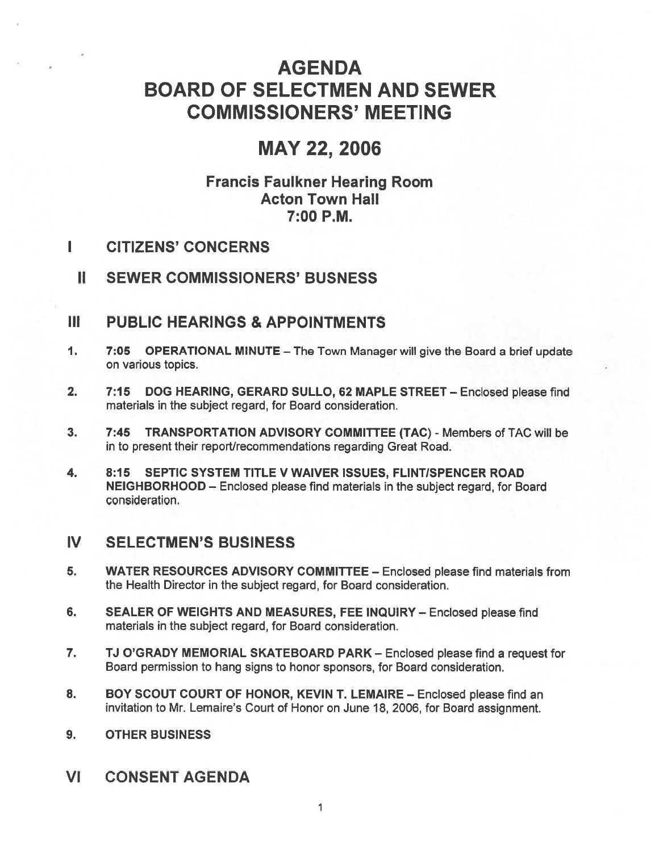# AGENDA BOARD OF SELECTMEN AND SEWER COMMISSIONERS' MEETING

# MAY 22, 2006

# Francis Faulkner Hearing Room Acton Town Hall 7:00 P.M.

#### Τ. CITIZENS' CONCERNS

II SEWER COMMISSIONERS' BUSNESS

# Ill PUBLIC HEARINGS & APPOINTMENTS

- 1. 7:05 OPERATIONAL MINUTE The Town Manager will give the Board <sup>a</sup> brief update on various topics.
- 2. 7:15 DOG HEARING, GERARD SULLO, 62 MAPLE STREET Enclosed please find materials in the subject regard, for Board consideration.
- 3. 7:45 TRANSPORTATION ADVISORY COMMITTEE (TAC) Members of TAC will be in to presen<sup>t</sup> their report/recommendations regarding Great Road.
- 4. 8:15 SEPTIC SYSTEM TITLE V WAIVER ISSUES, FLINTISPENCER ROAD NEIGHBORHOOD — Enclosed please find materials in the subject regard, for Board consideration.

# IV SELECTMEN'S BUSINESS

- 5. WATER RESOURCES ADVISORY COMMITTEE Enclosed please find materials from the Health Director in the subject regard, for Board consideration.
- 6. SEALER OF WEIGHTS AND MEASURES, FEE INQUIRY Enclosed please find materials in the subject regard, for Board consideration.
- 7. TJ O'GRADY MEMORIAL SKATEBOARD PARK Enclosed please find <sup>a</sup> reques<sup>t</sup> for Board permission to hang signs to honor sponsors, for Board consideration.
- 8. BOY SCOUT COURT OF HONOR, KEVIN T. LEMAIRE Enclosed please find an invitation to Mr. Lemaire's Court of Honor on June 18, 2006, for Board assignment.
- 9. OTHER BUSINESS
- VI CONSENT AGENDA